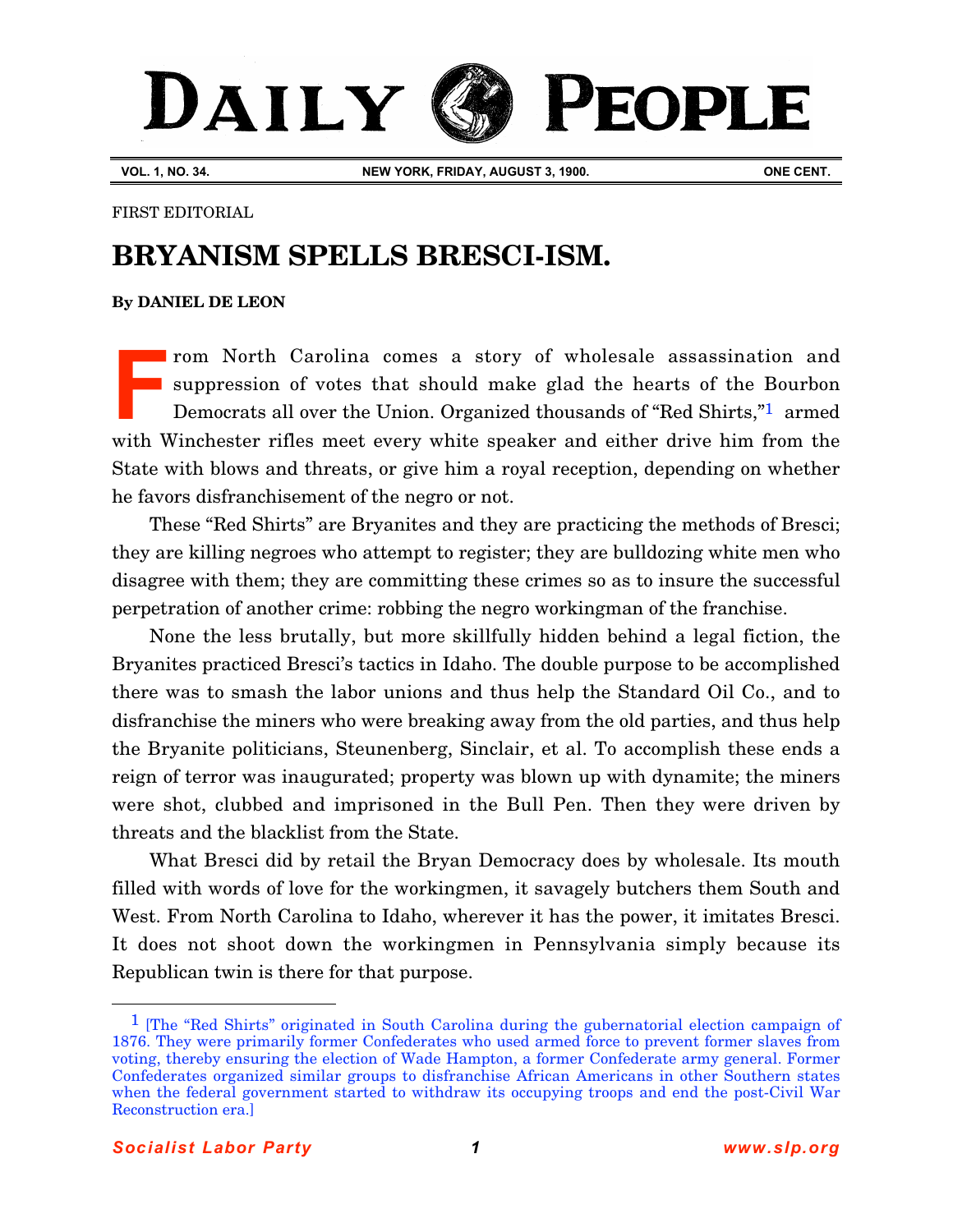## PEOPLE DAILY

**VOL. 1, NO. 34. NEW YORK, FRIDAY, AUGUST 3, 1900. ONE CENT.**

FIRST EDITORIAL

## **BRYANISM SPELLS BRESCI-ISM.**

## **[By DANIEL DE LEON](http://www.slp.org/De_Leon.htm)**

rom North Carolina comes a story of wholesale assassination and suppression of votes that should make glad the hearts of the Bourbon Democrats all over the Union. Organized thousands of "Red Shirts,"1 armed with Winchester rifles meet every white speaker and either drive him from the State with blows and threats, or give him a royal reception, depending on whether he favors disfranchisement of the negro or not. **F**

These "Red Shirts" are Bryanites and they are practicing the methods of Bresci; they are killing negroes who attempt to register; they are bulldozing white men who disagree with them; they are committing these crimes so as to insure the successful perpetration of another crime: robbing the negro workingman of the franchise.

None the less brutally, but more skillfully hidden behind a legal fiction, the Bryanites practiced Bresci's tactics in Idaho. The double purpose to be accomplished there was to smash the labor unions and thus help the Standard Oil Co., and to disfranchise the miners who were breaking away from the old parties, and thus help the Bryanite politicians, Steunenberg, Sinclair, et al. To accomplish these ends a reign of terror was inaugurated; property was blown up with dynamite; the miners were shot, clubbed and imprisoned in the Bull Pen. Then they were driven by threats and the blacklist from the State.

What Bresci did by retail the Bryan Democracy does by wholesale. Its mouth filled with words of love for the workingmen, it savagely butchers them South and West. From North Carolina to Idaho, wherever it has the power, it imitates Bresci. It does not shoot down the workingmen in Pennsylvania simply because its Republican twin is there for that purpose.

 $\overline{a}$ 

<sup>&</sup>lt;sup>1</sup> [The "Red Shirts" originated in South Carolina during the gubernatorial election campaign of 1876. They were primarily former Confederates who used armed force to prevent former slaves from voting, thereby ensuring the election of Wade Hampton, a former Confederate army general. Former Confederates organized similar groups to disfranchise African Americans in other Southern states when the federal government started to withdraw its occupying troops and end the post-Civil War Reconstruction era.]